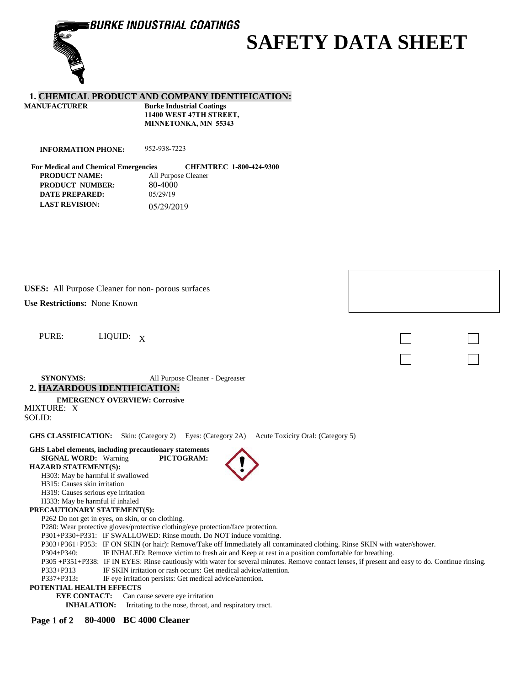**BURKE INDUSTRIAL COATINGS** 

# **SAFETY DATA SHEET**

# **1. CHEMICAL PRODUCT AND COMPANY IDENTIFICATION:**

| <b>Burke Industrial Coatings</b> |  |  |  |
|----------------------------------|--|--|--|
| 11400 WEST 47TH STREET,          |  |  |  |
| <b>MINNETONKA, MN 55343</b>      |  |  |  |
|                                  |  |  |  |

**INFORMATION PHONE:** 952-938-7223

**For Medical and Chemical Emergencies CHEMTREC 1-800-424-9300 PRODUCT NAME:** All Purpose Cleaner **PRODUCT NUMBER:** 80-4000<br>DATE PREPARED: 05/29/19 **DATE PREPARED: LAST REVISION:** 05/29/2019

**USES:** All Purpose Cleaner for non- porous surfaces

**Use Restrictions:** None Known

PURE: LIQUID: X

**SYNONYMS:** All Purpose Cleaner - Degreaser **2. HAZARDOUS IDENTIFICATION:**

# **EMERGENCY OVERVIEW: Corrosive**

MIXTURE: X SOLID:

**GHS CLASSIFICATION:** Skin: (Category 2) Eyes: (Category 2A) Acute Toxicity Oral: (Category 5)

| GHS Label elements, including precautionary statements                                                                                           |
|--------------------------------------------------------------------------------------------------------------------------------------------------|
| PICTOGRAM:<br><b>SIGNAL WORD:</b> Warning                                                                                                        |
| <b>HAZARD STATEMENT(S):</b>                                                                                                                      |
| H303: May be harmful if swallowed                                                                                                                |
| H <sub>3</sub> 15: Causes skin irritation                                                                                                        |
| H319: Causes serious eye irritation                                                                                                              |
| H333: May be harmful if inhaled                                                                                                                  |
| PRECAUTIONARY STATEMENT(S):                                                                                                                      |
| P262 Do not get in eyes, on skin, or on clothing.                                                                                                |
| P280: Wear protective gloves/protective clothing/eye protection/face protection.                                                                 |
| P301+P330+P331: IF SWALLOWED: Rinse mouth. Do NOT induce vomiting.                                                                               |
| P303+P361+P353: IF ON SKIN (or hair): Remove/Take off Immediately all contaminated clothing. Rinse SKIN with water/shower.                       |
| IF INHALED: Remove victim to fresh air and Keep at rest in a position comfortable for breathing.<br>$P304 + P340:$                               |
| P305+P351+P338: IF IN EYES: Rinse cautiously with water for several minutes. Remove contact lenses, if present and easy to do. Continue rinsing. |
| IF SKIN irritation or rash occurs: Get medical advice/attention.<br>P333+P313                                                                    |
| $P337 + P313$ :<br>IF eye irritation persists: Get medical advice/attention.                                                                     |
| POTENTIAL HEALTH EFFECTS                                                                                                                         |
| <b>EYE CONTACT:</b> Can cause severe eye irritation                                                                                              |
| <b>INHALATION:</b><br>Irritating to the nose, throat, and respiratory tract.                                                                     |
|                                                                                                                                                  |

**Page 1 of 2 80-4000 BC 4000 Cleaner**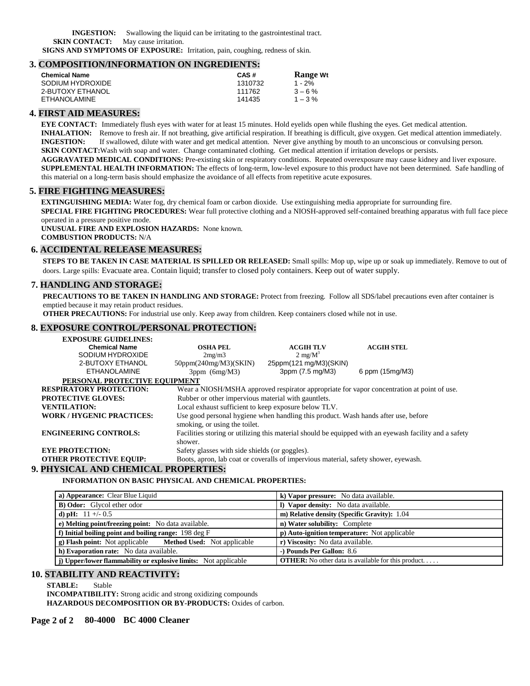**INGESTION:** Swallowing the liquid can be irritating to the gastrointestinal tract. **SKIN CONTACT:** May cause irritation.

**SIGNS AND SYMPTOMS OF EXPOSURE:** Irritation, pain, coughing, redness of skin.

# **3. COMPOSITION/INFORMATION ON INGREDIENTS:**

| CAS#    | <b>Range Wt</b> |
|---------|-----------------|
| 1310732 | $1 - 2%$        |
| 111762  | $3 - 6%$        |
| 141435  | $1 - 3\%$       |
|         |                 |

## **4. FIRST AID MEASURES:**

**EYE CONTACT:** Immediately flush eyes with water for at least 15 minutes. Hold eyelids open while flushing the eyes. Get medical attention. **INHALATION:** Remove to fresh air. If not breathing, give artificial respiration. If breathing is difficult, give oxygen. Get medical attention immediately. **INGESTION:** If swallowed, dilute with water and get medical attention. Never give anything by mouth to an unconscious or convulsing person. **SKIN CONTACT:** Wash with soap and water. Change contaminated clothing. Get medical attention if irritation develops or persists. **AGGRAVATED MEDICAL CONDITIONS:** Pre-existing skin or respiratory conditions. Repeated overexposure may cause kidney and liver exposure. **SUPPLEMENTAL HEALTH INFORMATION:** The effects of long-term, low-level exposure to this product have not been determined. Safe handling of this material on a long-term basis should emphasize the avoidance of all effects from repetitive acute exposures.

#### **5. FIRE FIGHTING MEASURES:**

**EXTINGUISHING MEDIA:** Water fog, dry chemical foam or carbon dioxide. Use extinguishing media appropriate for surrounding fire. **SPECIAL FIRE FIGHTING PROCEDURES:** Wear full protective clothing and a NIOSH-approved self-contained breathing apparatus with full face piece operated in a pressure positive mode.

**UNUSUAL FIRE AND EXPLOSION HAZARDS:** None known. **COMBUSTION PRODUCTS:** N/A

#### **6. ACCIDENTAL RELEASE MEASURES:**

**STEPS TO BE TAKEN IN CASE MATERIAL IS SPILLED OR RELEASED:** Small spills: Mop up, wipe up or soak up immediately. Remove to out of doors. Large spills: Evacuate area. Contain liquid; transfer to closed poly containers. Keep out of water supply.

## **7. HANDLING AND STORAGE:**

**PRECAUTIONS TO BE TAKEN IN HANDLING AND STORAGE:** Protect from freezing. Follow all SDS/label precautions even after container is emptied because it may retain product residues.

**OTHER PRECAUTIONS:** For industrial use only. Keep away from children. Keep containers closed while not in use.

#### **8. EXPOSURE CONTROL/PERSONAL PROTECTION:**

| <b>EXPOSURE GUIDELINES:</b>          |                                                                                                                     |                        |                                                                                                        |  |  |
|--------------------------------------|---------------------------------------------------------------------------------------------------------------------|------------------------|--------------------------------------------------------------------------------------------------------|--|--|
| <b>Chemical Name</b>                 | <b>OSHA PEL</b>                                                                                                     | <b>ACGIH TLV</b>       | <b>ACGIH STEL</b>                                                                                      |  |  |
| SODIUM HYDROXIDE                     | 2mg/m3                                                                                                              | $2 \text{ mg/M}^3$     |                                                                                                        |  |  |
| 2-BUTOXY ETHANOL                     | $50$ ppm $(240$ mg/M3 $)(SKIN)$                                                                                     | 25ppm(121 mg/M3)(SKIN) |                                                                                                        |  |  |
| <b>ETHANOLAMINE</b>                  | $3$ ppm $(6mg/M3)$                                                                                                  | 3ppm (7.5 mg/M3)       | 6 ppm (15mg/M3)                                                                                        |  |  |
| PERSONAL PROTECTIVE EOUIPMENT        |                                                                                                                     |                        |                                                                                                        |  |  |
| <b>RESPIRATORY PROTECTION:</b>       | Wear a NIOSH/MSHA approved respirator appropriate for vapor concentration at point of use.                          |                        |                                                                                                        |  |  |
| <b>PROTECTIVE GLOVES:</b>            | Rubber or other impervious material with gauntlets.                                                                 |                        |                                                                                                        |  |  |
| <b>VENTILATION:</b>                  | Local exhaust sufficient to keep exposure below TLV.                                                                |                        |                                                                                                        |  |  |
| <b>WORK/HYGENIC PRACTICES:</b>       | Use good personal hygiene when handling this product. Wash hands after use, before<br>smoking, or using the toilet. |                        |                                                                                                        |  |  |
| <b>ENGINEERING CONTROLS:</b>         | shower.                                                                                                             |                        | Facilities storing or utilizing this material should be equipped with an eyewash facility and a safety |  |  |
| <b>EYE PROTECTION:</b>               | Safety glasses with side shields (or goggles).                                                                      |                        |                                                                                                        |  |  |
| <b>OTHER PROTECTIVE EQUIP:</b>       | Boots, apron, lab coat or coveralls of impervious material, safety shower, eyewash.                                 |                        |                                                                                                        |  |  |
| 9. PHYSICAL AND CHEMICAL PROPERTIES: |                                                                                                                     |                        |                                                                                                        |  |  |

#### **INFORMATION ON BASIC PHYSICAL AND CHEMICAL PROPERTIES:**

| k) Vapor pressure: No data available.                     |
|-----------------------------------------------------------|
| I) Vapor density: No data available.                      |
| m) Relative density (Specific Gravity): 1.04              |
| n) Water solubility: Complete                             |
| p) Auto-ignition temperature: Not applicable              |
| r) Viscosity: No data available.                          |
| -) Pounds Per Gallon: 8.6                                 |
| <b>OTHER:</b> No other data is available for this product |
|                                                           |

## **10. STABILITY AND REACTIVITY:**

**STABLE:** Stable

**INCOMPATIBILITY:** Strong acidic and strong oxidizing compounds

**HAZARDOUS DECOMPOSITION OR BY-PRODUCTS:** Oxides of carbon.

## **Page 2 of 2 80-4000 BC 4000 Cleaner**